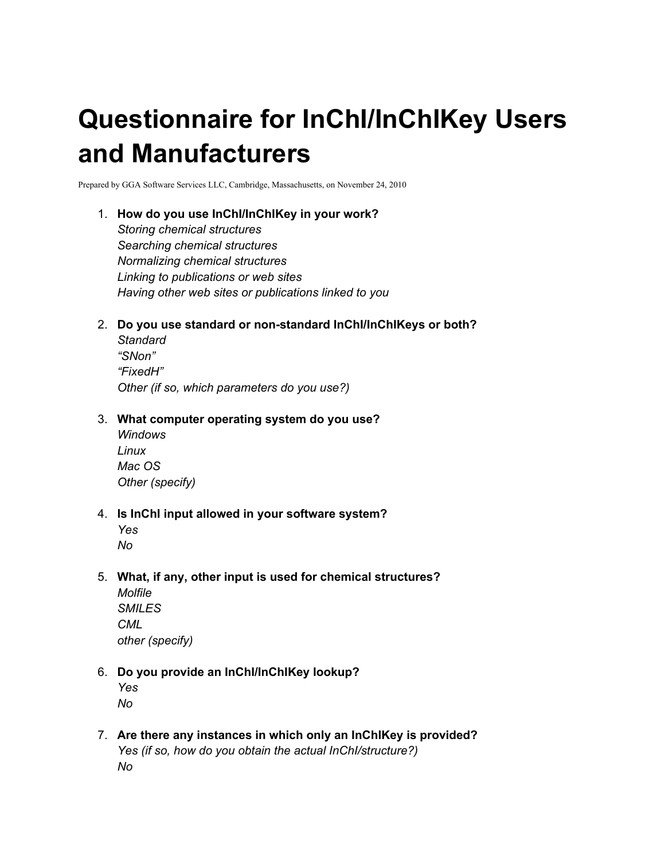# **Questionnaire for InChI/InChIKey Users and Manufacturers**

Prepared by GGA Software Services LLC, Cambridge, Massachusetts, on November 24, 2010

### 1. **How do you use InChI/InChIKey in your work?**

*Storing chemical structures Searching chemical structures Normalizing chemical structures Linking to publications or web sites Having other web sites or publications linked to you*

2. **Do you use standard or non-standard InChI/InChIKeys or both?**

*Standard "SNon" "FixedH" Other (if so, which parameters do you use?)*

### 3. **What computer operating system do you use?**

*Windows Linux Mac OS Other (specify)*

### 4. **Is InChI input allowed in your software system?**

5. **What, if any, other input is used for chemical structures?**

| Molfile         |
|-----------------|
| <i>SMILES</i>   |
| CML             |
| other (specify) |

### 6. **Do you provide an InChI/InChIKey lookup?**

*Yes No*

7. **Are there any instances in which only an InChIKey is provided?** *Yes (if so, how do you obtain the actual InChI/structure?) No*